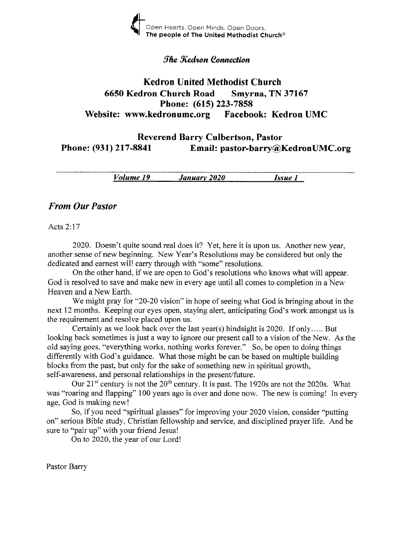

#### *fhe Kedron Connection*

## Kedron United Methodist Church <sup>6650</sup>Kedron Church Road Smyrna, TN <sup>37167</sup> Phone: (615) 223-7858 Website: www.kedronumc.org Facebook: Kedron UMC

### Reverend Barry Culbertson, Pastor Phone: (931) 217-8841 Email: pastor-barry@KedronUMC.org

Volume 19 Januarv 2020 Issue I

#### From Our Pastor

Acts2:17

2020. Doesn't quite sound real does it? Yet, here it is upon us. Another new year, another sense of new beginning. New Year's Resolutions may be considered but only the dedicated and earnest will carry through with "some" resolutions.

On the other hand, if we are open to God's resolutions who knows what will appear. God is resolved to save and make new in every age until all comes to completion in a New Heaven and a New Earth.

We might pray for "20-20 vision" in hope of seeing what God is bringing about in the next 12 months. Keeping our eyes open, staying alert, anticipating God's work amongst us is the requirement and resolve placed upon us.

Certainly as we look back over the last year(s) hindsight is 2020. If only..... But looking back sometimes is just a way to ignore our present cail to a vision of the New. As the old saying goes, "everything works, nothing works forever." So, be open to doing things differently with God's guidance. What those might be can be based on multiple building blocks from the past, but only for the sake of something new in spiritual growth, self-awareness, and personal relationships in the present/future.

Our  $21<sup>st</sup>$  century is not the  $20<sup>th</sup>$  century. It is past. The 1920s are not the 2020s. What was "roaring and flapping" 100 years ago is over and done now. The new is coming! In every age, God is making new!

So, if you need "spiritual glasses" for improving your 2020 vision, consider "putting on" serious Bible study, Christian fellowship and service, and disciplined prayer life. And be sure to "pair up" with your friend Jesus!

On to 2020, the year of our Lord!

Pastor Barry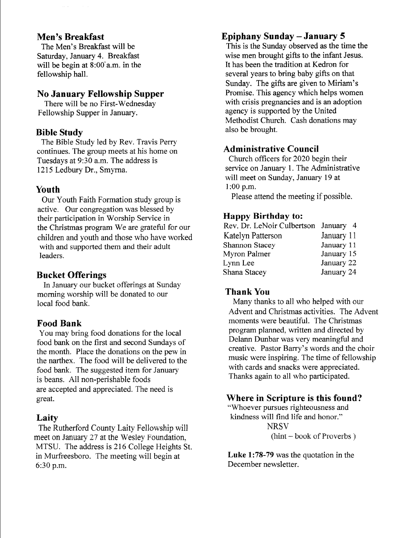### Men's Breakfast

The Men's Breakfast will be Saturday, January 4. Breakfast will be begin at 8:00'a.m. in the fellowship hall.

### No January Fellowship Supper

There will be no First-Wednesday Fellowship Supper in January.

### Bible Study

The Bible Study led by Rev. Travis Perry continues. The group meets at his home on Tuesdays at 9:30 a.m. The address is 1215 Ledbury Dr., Smyrna.

## Youth

Our Youth Faith Formation study group is active. Our congregation was blessed by their participation in Worship Service in the Christmas program We are grateful for our children and youth and those who have worked with and supported them and their adult leaders.

## Bucket Offerings

In January our bucket offerings at Sunday morning worship will be donated to our local food bank.

## Food Bank

You may bring food donations for the local food bank on the first and second Sundays of the month. Place the donations on the pew in the narthex. The food will be delivered to the food bank. The suggested item for January is beans. All non-perishable foods are accepted and appreciated. The need is great.

## Laity

The Rutherford County Laity Fellowship will meet on January 27 at the Wesley Foundation. MTSU. The address is 216 College Heights St. in Murfreesboro. The meeting will begin at 6:30 p.m.

# Epiphany Sunday - January <sup>5</sup>

This is the Sunday observed as the time the wise men brought gifts to the infant Jesus. It has been the tradition at Kedron for several years to bring baby gifts on that Sunday. The gifts are given to Miriam's Promise. This agency which helps women with crisis pregnancies and is an adoption agency is supported by the United Methodist Church. Cash donations may also be brought.

## Administrative Council

Church officers for 2020 begin their service on January 1. The Administrative will meet on Sunday, January 19 at 1:00 p.m.

Please attend the meeting if possible.

## Ilappy Birthday to:

| Rev. Dr. LeNoir Culbertson January 4 |            |
|--------------------------------------|------------|
| Katelyn Patterson                    | January 11 |
| Shannon Stacey                       | January 11 |
| Myron Palmer                         | January 15 |
| Lynn Lee                             | January 22 |
| Shana Stacey                         | January 24 |

### Thank You

Many thanks to all who helped with our Advent and Christmas activities. The Advent moments were beautiful. The Christmas program planned, written and directed by Delann Dunbar was very meaningful and creative. Pastor Bany's words and the choir music were inspiring. The time of fellowship with cards and snacks were appreciated. Thanks again to all who participated.

## Where in Scripture is this found?

"Whoever pursues righteousness and kindness will find life and honor." **NRSV** (hint - book of Proverbs )

Luke 1:78-79 was the quotation in the December newsletter.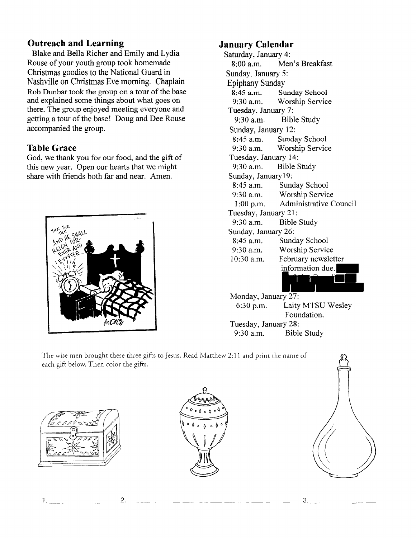## Outreach and Learning

Blake and Bella Richer and Emily and Lydia Rouse of your youth group took homemade Christmas goodies to the National Guard in Nashville on Christmas Eve morning. Chaplain Rob Dunbar took the group on a tour of the base and explained some things about what goes on there. The group enjoyed meeting everyone and getting a tour of the base! Doug and Dee Rouse accompanied the group.

## **Table Grace**

God, we thank you for our food, and the gift of this new year. Open our hearts that we might share with friends both far and near. Amen.



# January Calendar

Saturday, January 4: 8:00 a.m. Men's Breakfast Sunday, January 5: Epiphany Sunday 8:45 a.m. Sunday School<br>9:30 a.m. Worship Servic Worship Service Tuesday, January 7: 9:30 a.m. Bible Study Sunday, January 12: 8:45 a.m. Sunday School<br>9:30 a.m. Worship Servic Worship Service Tuesday, January 14: 9:30 a.m. Bible Study Sunday, Januaryl9: 8:45 a.m. Sunday School<br>9:30 a.m. Worship Servic 9:30 a.m. Worship Service<br>1:00 p.m. Administrative C Administrative Council Tuesday, January 21: 9:30 a.m. Bible Study Sunday, January 26: 8:45 a.m. Sunday School<br>9:30 a.m. Worship Servic 9:30 a.m. Worship Service<br>10:30 a.m. February newslet February newsletter information due.  $\sqrt{ }$ n and Monday, January 27: 6:30 p.m. Laity MTSU Wesley Foundation.

Tuesday, January 28:

9:30 a.m. Bible Study

The wise men brought these three gifts to Jesus. Read Matthew 2:11 and print the name of each gift below. Then color the gifts.



1.





2.